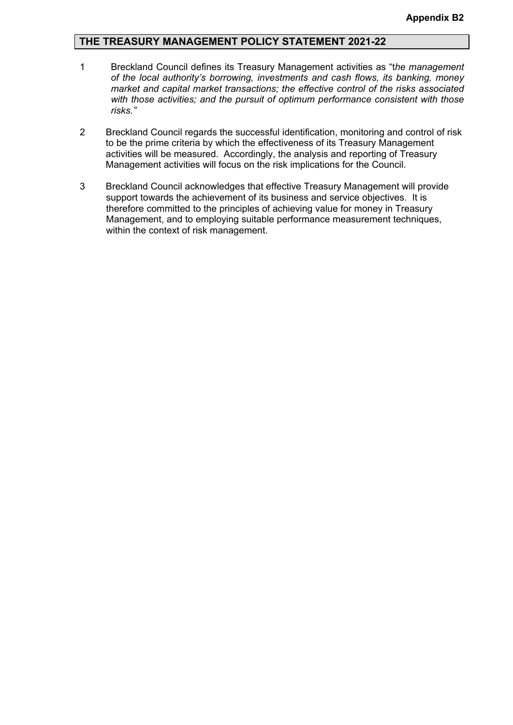#### **THE TREASURY MANAGEMENT POLICY STATEMENT 2021-22**

- 1 Breckland Council defines its Treasury Management activities as "t*he management of the local authority's borrowing, investments and cash flows, its banking, money market and capital market transactions; the effective control of the risks associated with those activities; and the pursuit of optimum performance consistent with those risks."*
- 2 Breckland Council regards the successful identification, monitoring and control of risk to be the prime criteria by which the effectiveness of its Treasury Management activities will be measured. Accordingly, the analysis and reporting of Treasury Management activities will focus on the risk implications for the Council.
- 3 Breckland Council acknowledges that effective Treasury Management will provide support towards the achievement of its business and service objectives. It is therefore committed to the principles of achieving value for money in Treasury Management, and to employing suitable performance measurement techniques, within the context of risk management.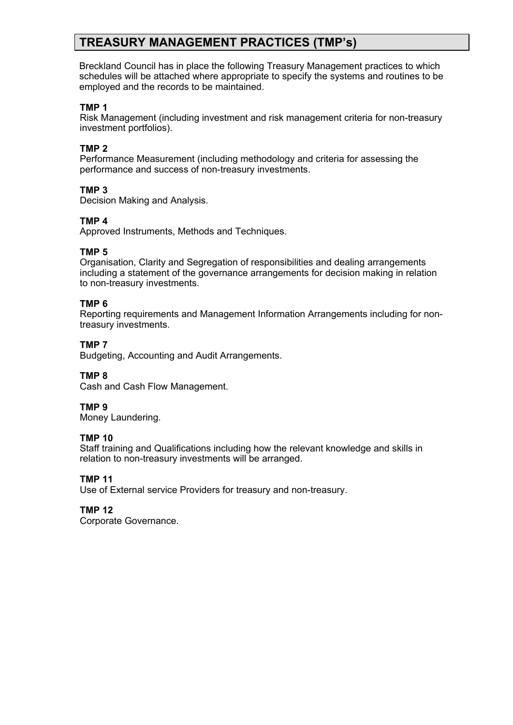# **TREASURY MANAGEMENT PRACTICES (TMP's)**

Breckland Council has in place the following Treasury Management practices to which schedules will be attached where appropriate to specify the systems and routines to be employed and the records to be maintained.

#### **TMP 1**

Risk Management (including investment and risk management criteria for non-treasury investment portfolios).

### **TMP 2**

Performance Measurement (including methodology and criteria for assessing the performance and success of non-treasury investments.

### **TMP 3**

Decision Making and Analysis.

### **TMP 4**

Approved Instruments, Methods and Techniques.

### **TMP 5**

Organisation, Clarity and Segregation of responsibilities and dealing arrangements including a statement of the governance arrangements for decision making in relation to non-treasury investments.

### **TMP 6**

Reporting requirements and Management Information Arrangements including for nontreasury investments.

## **TMP 7**

Budgeting, Accounting and Audit Arrangements.

#### **TMP 8**

Cash and Cash Flow Management.

#### **TMP 9**

Money Laundering.

#### **TMP 10**

Staff training and Qualifications including how the relevant knowledge and skills in relation to non-treasury investments will be arranged.

#### **TMP 11**

Use of External service Providers for treasury and non-treasury.

#### **TMP 12**

Corporate Governance.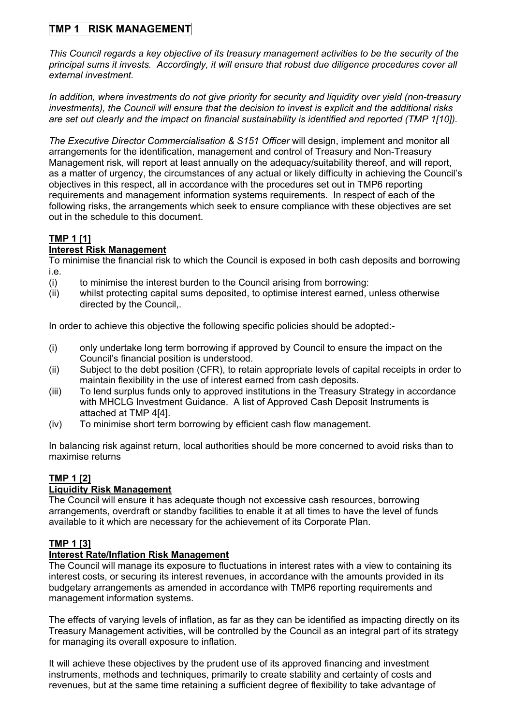# **TMP 1 RISK MANAGEMENT**

*This Council regards a key objective of its treasury management activities to be the security of the principal sums it invests. Accordingly, it will ensure that robust due diligence procedures cover all external investment.* 

*In addition, where investments do not give priority for security and liquidity over yield (non-treasury investments), the Council will ensure that the decision to invest is explicit and the additional risks are set out clearly and the impact on financial sustainability is identified and reported (TMP 1[10]).*

*The Executive Director Commercialisation & S151 Officer* will design, implement and monitor all arrangements for the identification, management and control of Treasury and Non-Treasury Management risk, will report at least annually on the adequacy/suitability thereof, and will report, as a matter of urgency, the circumstances of any actual or likely difficulty in achieving the Council's objectives in this respect, all in accordance with the procedures set out in TMP6 reporting requirements and management information systems requirements*.* In respect of each of the following risks, the arrangements which seek to ensure compliance with these objectives are set out in the schedule to this document.

# **TMP 1 [1]**

## **Interest Risk Management**

To minimise the financial risk to which the Council is exposed in both cash deposits and borrowing i.e.

- (i) to minimise the interest burden to the Council arising from borrowing:
- (ii) whilst protecting capital sums deposited, to optimise interest earned, unless otherwise directed by the Council,.

In order to achieve this objective the following specific policies should be adopted:-

- (i) only undertake long term borrowing if approved by Council to ensure the impact on the Council's financial position is understood.
- (ii) Subject to the debt position (CFR), to retain appropriate levels of capital receipts in order to maintain flexibility in the use of interest earned from cash deposits.
- (iii) To lend surplus funds only to approved institutions in the Treasury Strategy in accordance with MHCLG Investment Guidance. A list of Approved Cash Deposit Instruments is attached at TMP 4[4].
- (iv) To minimise short term borrowing by efficient cash flow management.

In balancing risk against return, local authorities should be more concerned to avoid risks than to maximise returns

# **TMP 1 [2]**

## **Liquidity Risk Management**

The Council will ensure it has adequate though not excessive cash resources, borrowing arrangements, overdraft or standby facilities to enable it at all times to have the level of funds available to it which are necessary for the achievement of its Corporate Plan.

## **TMP 1 [3]**

## **Interest Rate/Inflation Risk Management**

The Council will manage its exposure to fluctuations in interest rates with a view to containing its interest costs, or securing its interest revenues, in accordance with the amounts provided in its budgetary arrangements as amended in accordance with TMP6 reporting requirements and management information systems.

The effects of varying levels of inflation, as far as they can be identified as impacting directly on its Treasury Management activities, will be controlled by the Council as an integral part of its strategy for managing its overall exposure to inflation.

It will achieve these objectives by the prudent use of its approved financing and investment instruments, methods and techniques, primarily to create stability and certainty of costs and revenues, but at the same time retaining a sufficient degree of flexibility to take advantage of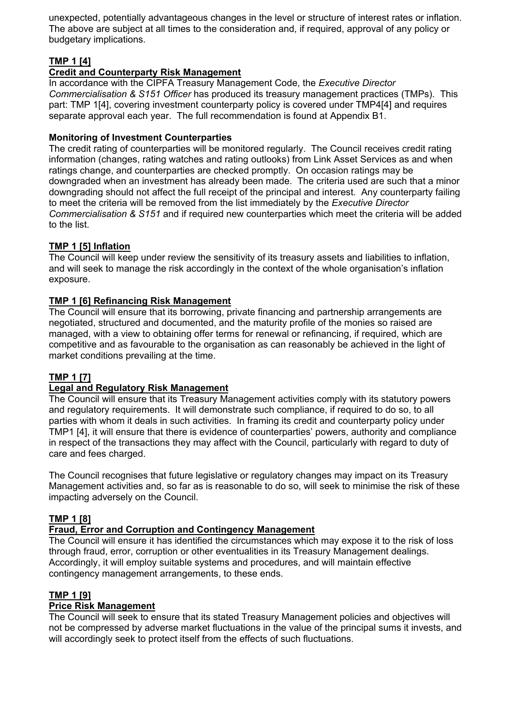unexpected, potentially advantageous changes in the level or structure of interest rates or inflation. The above are subject at all times to the consideration and, if required, approval of any policy or budgetary implications.

# **TMP 1 [4]**

## **Credit and Counterparty Risk Management**

In accordance with the CIPFA Treasury Management Code, the *Executive Director Commercialisation & S151 Officer* has produced its treasury management practices (TMPs). This part: TMP 1[4], covering investment counterparty policy is covered under TMP4[4] and requires separate approval each year. The full recommendation is found at Appendix B1.

## **Monitoring of Investment Counterparties**

The credit rating of counterparties will be monitored regularly. The Council receives credit rating information (changes, rating watches and rating outlooks) from Link Asset Services as and when ratings change, and counterparties are checked promptly. On occasion ratings may be downgraded when an investment has already been made. The criteria used are such that a minor downgrading should not affect the full receipt of the principal and interest. Any counterparty failing to meet the criteria will be removed from the list immediately by the *Executive Director Commercialisation & S151* and if required new counterparties which meet the criteria will be added to the list.

## **TMP 1 [5] Inflation**

The Council will keep under review the sensitivity of its treasury assets and liabilities to inflation, and will seek to manage the risk accordingly in the context of the whole organisation's inflation exposure.

## **TMP 1 [6] Refinancing Risk Management**

The Council will ensure that its borrowing, private financing and partnership arrangements are negotiated, structured and documented, and the maturity profile of the monies so raised are managed, with a view to obtaining offer terms for renewal or refinancing, if required, which are competitive and as favourable to the organisation as can reasonably be achieved in the light of market conditions prevailing at the time.

## **TMP 1 [7]**

## **Legal and Regulatory Risk Management**

The Council will ensure that its Treasury Management activities comply with its statutory powers and regulatory requirements. It will demonstrate such compliance, if required to do so, to all parties with whom it deals in such activities. In framing its credit and counterparty policy under TMP1 [4], it will ensure that there is evidence of counterparties' powers, authority and compliance in respect of the transactions they may affect with the Council, particularly with regard to duty of care and fees charged.

The Council recognises that future legislative or regulatory changes may impact on its Treasury Management activities and, so far as is reasonable to do so, will seek to minimise the risk of these impacting adversely on the Council.

## **TMP 1 [8]**

## **Fraud, Error and Corruption and Contingency Management**

The Council will ensure it has identified the circumstances which may expose it to the risk of loss through fraud, error, corruption or other eventualities in its Treasury Management dealings. Accordingly, it will employ suitable systems and procedures, and will maintain effective contingency management arrangements, to these ends.

## **TMP 1 [9]**

## **Price Risk Management**

The Council will seek to ensure that its stated Treasury Management policies and objectives will not be compressed by adverse market fluctuations in the value of the principal sums it invests, and will accordingly seek to protect itself from the effects of such fluctuations.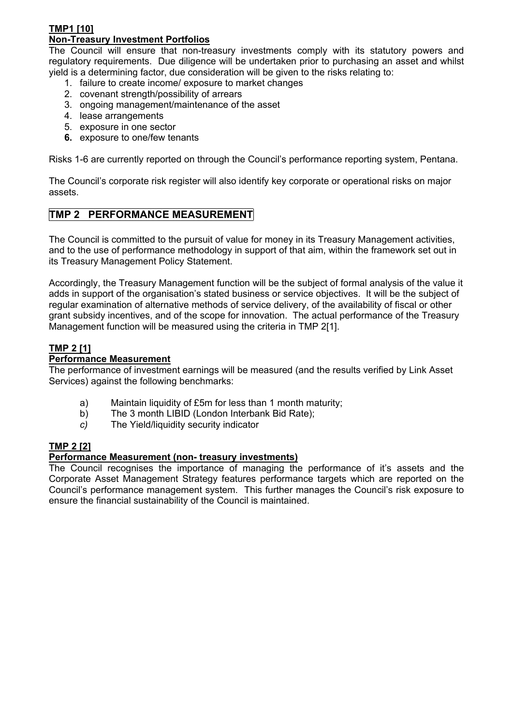#### **TMP1 [10] Non-Treasury Investment Portfolios**

The Council will ensure that non-treasury investments comply with its statutory powers and regulatory requirements. Due diligence will be undertaken prior to purchasing an asset and whilst yield is a determining factor, due consideration will be given to the risks relating to:

- 1. failure to create income/ exposure to market changes
- 2. covenant strength/possibility of arrears
- 3. ongoing management/maintenance of the asset
- 4. lease arrangements
- 5. exposure in one sector
- **6.** exposure to one/few tenants

Risks 1-6 are currently reported on through the Council's performance reporting system, Pentana.

The Council's corporate risk register will also identify key corporate or operational risks on major assets.

## **TMP 2 PERFORMANCE MEASUREMENT**

The Council is committed to the pursuit of value for money in its Treasury Management activities, and to the use of performance methodology in support of that aim, within the framework set out in its Treasury Management Policy Statement.

Accordingly, the Treasury Management function will be the subject of formal analysis of the value it adds in support of the organisation's stated business or service objectives. It will be the subject of regular examination of alternative methods of service delivery, of the availability of fiscal or other grant subsidy incentives, and of the scope for innovation. The actual performance of the Treasury Management function will be measured using the criteria in TMP 2[1].

## **TMP 2 [1]**

### **Performance Measurement**

The performance of investment earnings will be measured (and the results verified by Link Asset Services) against the following benchmarks:

- a) Maintain liquidity of £5m for less than 1 month maturity;
- b) The 3 month LIBID (London Interbank Bid Rate);
- *c)* The Yield/liquidity security indicator

## **TMP 2 [2]**

## **Performance Measurement (non- treasury investments)**

The Council recognises the importance of managing the performance of it's assets and the Corporate Asset Management Strategy features performance targets which are reported on the Council's performance management system. This further manages the Council's risk exposure to ensure the financial sustainability of the Council is maintained.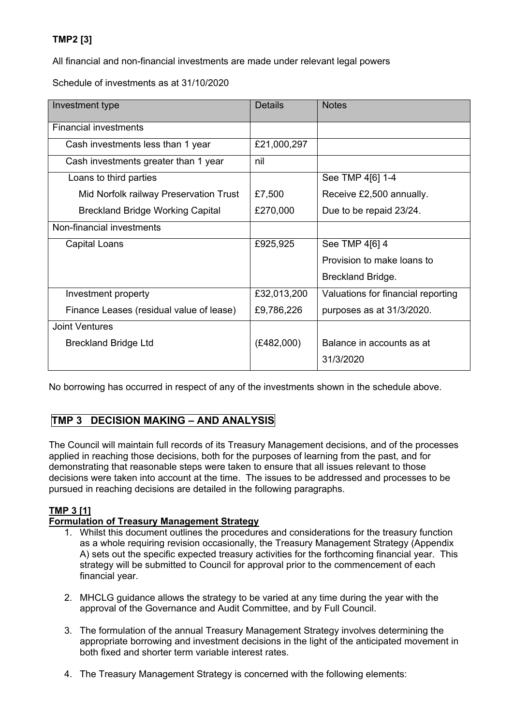## **TMP2 [3]**

All financial and non-financial investments are made under relevant legal powers

Schedule of investments as at 31/10/2020

| Investment type                          | Details     | <b>Notes</b>                       |
|------------------------------------------|-------------|------------------------------------|
| <b>Financial investments</b>             |             |                                    |
| Cash investments less than 1 year        | £21,000,297 |                                    |
| Cash investments greater than 1 year     | nil         |                                    |
| Loans to third parties                   |             | See TMP 4[6] 1-4                   |
| Mid Norfolk railway Preservation Trust   | £7,500      | Receive £2,500 annually.           |
| <b>Breckland Bridge Working Capital</b>  | £270,000    | Due to be repaid 23/24.            |
| Non-financial investments                |             |                                    |
| Capital Loans                            | £925,925    | See TMP 4[6] 4                     |
|                                          |             | Provision to make loans to         |
|                                          |             | Breckland Bridge.                  |
| Investment property                      | £32,013,200 | Valuations for financial reporting |
| Finance Leases (residual value of lease) | £9,786,226  | purposes as at 31/3/2020.          |
| <b>Joint Ventures</b>                    |             |                                    |
| <b>Breckland Bridge Ltd</b>              | (E482,000)  | Balance in accounts as at          |
|                                          |             | 31/3/2020                          |

No borrowing has occurred in respect of any of the investments shown in the schedule above.

## **TMP 3 DECISION MAKING – AND ANALYSIS**

The Council will maintain full records of its Treasury Management decisions, and of the processes applied in reaching those decisions, both for the purposes of learning from the past, and for demonstrating that reasonable steps were taken to ensure that all issues relevant to those decisions were taken into account at the time. The issues to be addressed and processes to be pursued in reaching decisions are detailed in the following paragraphs.

## **TMP 3 [1]**

#### **Formulation of Treasury Management Strategy**

- 1. Whilst this document outlines the procedures and considerations for the treasury function as a whole requiring revision occasionally, the Treasury Management Strategy (Appendix A) sets out the specific expected treasury activities for the forthcoming financial year. This strategy will be submitted to Council for approval prior to the commencement of each financial year.
- 2. MHCLG guidance allows the strategy to be varied at any time during the year with the approval of the Governance and Audit Committee, and by Full Council.
- 3. The formulation of the annual Treasury Management Strategy involves determining the appropriate borrowing and investment decisions in the light of the anticipated movement in both fixed and shorter term variable interest rates.
- 4. The Treasury Management Strategy is concerned with the following elements: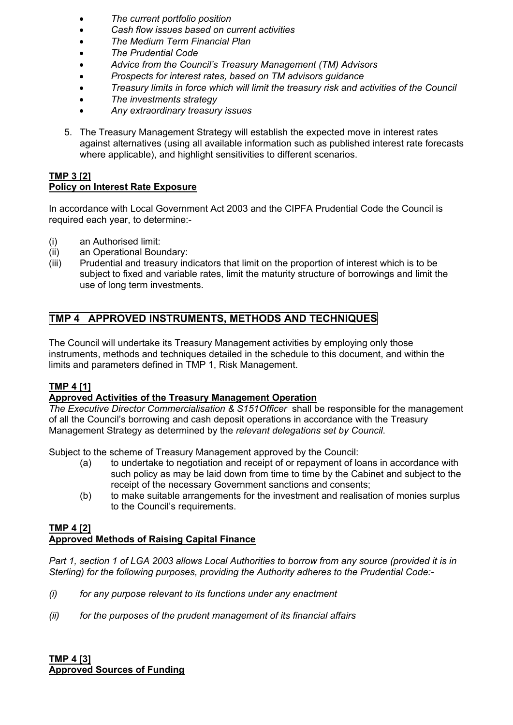- *The current portfolio position*
- *Cash flow issues based on current activities*
- *The Medium Term Financial Plan*
- *The Prudential Code*
- *Advice from the Council's Treasury Management (TM) Advisors*
- *Prospects for interest rates, based on TM advisors guidance*
- *Treasury limits in force which will limit the treasury risk and activities of the Council*
- *The investments strategy*
- *Any extraordinary treasury issues*
- 5. The Treasury Management Strategy will establish the expected move in interest rates against alternatives (using all available information such as published interest rate forecasts where applicable), and highlight sensitivities to different scenarios.

#### **TMP 3 [2] Policy on Interest Rate Exposure**

In accordance with Local Government Act 2003 and the CIPFA Prudential Code the Council is required each year, to determine:-

- (i) an Authorised limit:
- (ii) an Operational Boundary:
- (iii) Prudential and treasury indicators that limit on the proportion of interest which is to be subject to fixed and variable rates, limit the maturity structure of borrowings and limit the use of long term investments.

# **TMP 4 APPROVED INSTRUMENTS, METHODS AND TECHNIQUES**

The Council will undertake its Treasury Management activities by employing only those instruments, methods and techniques detailed in the schedule to this document, and within the limits and parameters defined in TMP 1, Risk Management.

## **TMP 4 [1]**

## **Approved Activities of the Treasury Management Operation**

*The Executive Director Commercialisation & S151Officer* shall be responsible for the management of all the Council's borrowing and cash deposit operations in accordance with the Treasury Management Strategy as determined by the *relevant delegations set by Council*.

Subject to the scheme of Treasury Management approved by the Council:

- (a) to undertake to negotiation and receipt of or repayment of loans in accordance with such policy as may be laid down from time to time by the Cabinet and subject to the receipt of the necessary Government sanctions and consents;
- (b) to make suitable arrangements for the investment and realisation of monies surplus to the Council's requirements.

### **TMP 4 [2] Approved Methods of Raising Capital Finance**

Part 1, section 1 of LGA 2003 allows Local Authorities to borrow from any source (provided it is in *Sterling) for the following purposes, providing the Authority adheres to the Prudential Code:-*

- *(i) for any purpose relevant to its functions under any enactment*
- *(ii) for the purposes of the prudent management of its financial affairs*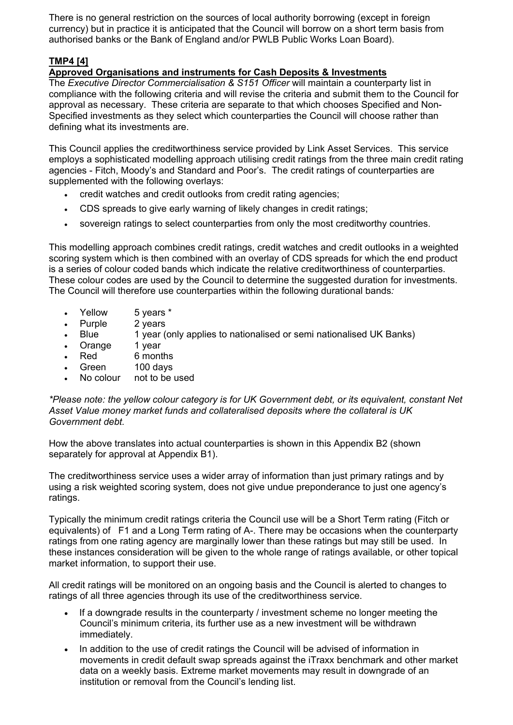There is no general restriction on the sources of local authority borrowing (except in foreign currency) but in practice it is anticipated that the Council will borrow on a short term basis from authorised banks or the Bank of England and/or PWLB Public Works Loan Board).

# **TMP4 [4]**

## **Approved Organisations and instruments for Cash Deposits & Investments**

The *Executive Director Commercialisation & S151 Officer* will maintain a counterparty list in compliance with the following criteria and will revise the criteria and submit them to the Council for approval as necessary. These criteria are separate to that which chooses Specified and Non-Specified investments as they select which counterparties the Council will choose rather than defining what its investments are.

This Council applies the creditworthiness service provided by Link Asset Services. This service employs a sophisticated modelling approach utilising credit ratings from the three main credit rating agencies - Fitch, Moody's and Standard and Poor's. The credit ratings of counterparties are supplemented with the following overlays:

- credit watches and credit outlooks from credit rating agencies;
- CDS spreads to give early warning of likely changes in credit ratings;
- sovereign ratings to select counterparties from only the most creditworthy countries.

This modelling approach combines credit ratings, credit watches and credit outlooks in a weighted scoring system which is then combined with an overlay of CDS spreads for which the end product is a series of colour coded bands which indicate the relative creditworthiness of counterparties. These colour codes are used by the Council to determine the suggested duration for investments. The Council will therefore use counterparties within the following durational bands*:*

- Yellow 5 years \*
- Purple 2 years
- Blue 1 year (only applies to nationalised or semi nationalised UK Banks)
- Orange 1 year
- Red 6 months
- Green 100 days
- No colour not to be used

*\*Please note: the yellow colour category is for UK Government debt, or its equivalent, constant Net Asset Value money market funds and collateralised deposits where the collateral is UK Government debt.*

How the above translates into actual counterparties is shown in this Appendix B2 (shown separately for approval at Appendix B1).

The creditworthiness service uses a wider array of information than just primary ratings and by using a risk weighted scoring system, does not give undue preponderance to just one agency's ratings.

Typically the minimum credit ratings criteria the Council use will be a Short Term rating (Fitch or equivalents) of F1 and a Long Term rating of A-. There may be occasions when the counterparty ratings from one rating agency are marginally lower than these ratings but may still be used. In these instances consideration will be given to the whole range of ratings available, or other topical market information, to support their use.

All credit ratings will be monitored on an ongoing basis and the Council is alerted to changes to ratings of all three agencies through its use of the creditworthiness service.

- If a downgrade results in the counterparty / investment scheme no longer meeting the Council's minimum criteria, its further use as a new investment will be withdrawn immediately.
- In addition to the use of credit ratings the Council will be advised of information in movements in credit default swap spreads against the iTraxx benchmark and other market data on a weekly basis. Extreme market movements may result in downgrade of an institution or removal from the Council's lending list.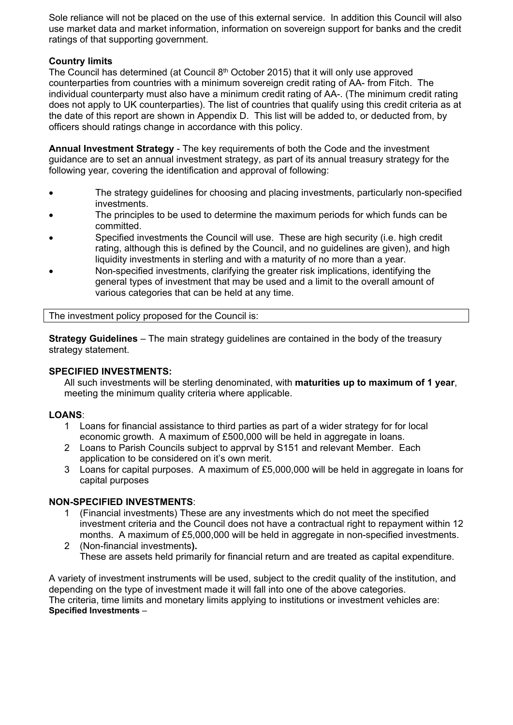Sole reliance will not be placed on the use of this external service. In addition this Council will also use market data and market information, information on sovereign support for banks and the credit ratings of that supporting government.

### **Country limits**

The Council has determined (at Council 8<sup>th</sup> October 2015) that it will only use approved counterparties from countries with a minimum sovereign credit rating of AA- from Fitch. The individual counterparty must also have a minimum credit rating of AA-. (The minimum credit rating does not apply to UK counterparties). The list of countries that qualify using this credit criteria as at the date of this report are shown in Appendix D. This list will be added to, or deducted from, by officers should ratings change in accordance with this policy.

**Annual Investment Strategy** - The key requirements of both the Code and the investment guidance are to set an annual investment strategy, as part of its annual treasury strategy for the following year*,* covering the identification and approval of following:

- The strategy guidelines for choosing and placing investments, particularly non-specified investments.
- The principles to be used to determine the maximum periods for which funds can be committed.
- Specified investments the Council will use. These are high security (i.e. high credit rating, although this is defined by the Council, and no guidelines are given), and high liquidity investments in sterling and with a maturity of no more than a year.
- Non-specified investments, clarifying the greater risk implications, identifying the general types of investment that may be used and a limit to the overall amount of various categories that can be held at any time.

The investment policy proposed for the Council is:

**Strategy Guidelines** – The main strategy guidelines are contained in the body of the treasury strategy statement.

#### **SPECIFIED INVESTMENTS:**

All such investments will be sterling denominated, with **maturities up to maximum of 1 year**, meeting the minimum quality criteria where applicable.

#### **LOANS**:

- 1 Loans for financial assistance to third parties as part of a wider strategy for for local economic growth. A maximum of £500,000 will be held in aggregate in loans.
- 2 Loans to Parish Councils subject to apprval by S151 and relevant Member. Each application to be considered on it's own merit.
- 3 Loans for capital purposes. A maximum of £5,000,000 will be held in aggregate in loans for capital purposes

#### **NON-SPECIFIED INVESTMENTS**:

- 1 (Financial investments) These are any investments which do not meet the specified investment criteria and the Council does not have a contractual right to repayment within 12 months. A maximum of £5,000,000 will be held in aggregate in non-specified investments.
- 2 (Non-financial investments**).** These are assets held primarily for financial return and are treated as capital expenditure.

A variety of investment instruments will be used, subject to the credit quality of the institution, and depending on the type of investment made it will fall into one of the above categories. The criteria, time limits and monetary limits applying to institutions or investment vehicles are: **Specified Investments** –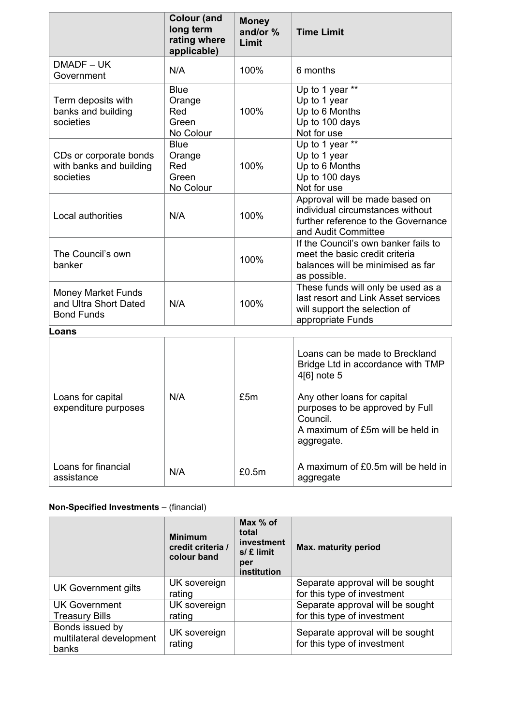|                                                                         | <b>Colour (and</b><br>long term<br>rating where<br>applicable) | <b>Money</b><br>and/or %<br>Limit | <b>Time Limit</b>                                                                                                                                                                                                  |
|-------------------------------------------------------------------------|----------------------------------------------------------------|-----------------------------------|--------------------------------------------------------------------------------------------------------------------------------------------------------------------------------------------------------------------|
| DMADF-UK<br>Government                                                  | N/A                                                            | 100%                              | 6 months                                                                                                                                                                                                           |
| Term deposits with<br>banks and building<br>societies                   | <b>Blue</b><br>Orange<br>Red<br>Green<br>No Colour             | 100%                              | Up to 1 year **<br>Up to 1 year<br>Up to 6 Months<br>Up to 100 days<br>Not for use                                                                                                                                 |
| CDs or corporate bonds<br>with banks and building<br>societies          | <b>Blue</b><br>Orange<br>Red<br>Green<br>No Colour             | 100%                              | Up to 1 year **<br>Up to 1 year<br>Up to 6 Months<br>Up to 100 days<br>Not for use                                                                                                                                 |
| Local authorities                                                       | N/A                                                            | 100%                              | Approval will be made based on<br>individual circumstances without<br>further reference to the Governance<br>and Audit Committee                                                                                   |
| The Council's own<br>banker                                             |                                                                | 100%                              | If the Council's own banker fails to<br>meet the basic credit criteria<br>balances will be minimised as far<br>as possible.                                                                                        |
| <b>Money Market Funds</b><br>and Ultra Short Dated<br><b>Bond Funds</b> | N/A                                                            | 100%                              | These funds will only be used as a<br>last resort and Link Asset services<br>will support the selection of<br>appropriate Funds                                                                                    |
| Loans                                                                   |                                                                |                                   |                                                                                                                                                                                                                    |
| Loans for capital<br>expenditure purposes                               | N/A                                                            | £5m                               | Loans can be made to Breckland<br>Bridge Ltd in accordance with TMP<br>4[6] note 5<br>Any other loans for capital<br>purposes to be approved by Full<br>Council.<br>A maximum of £5m will be held in<br>aggregate. |
| Loans for financial<br>assistance                                       | N/A                                                            | £0.5m                             | A maximum of £0.5m will be held in<br>aggregate                                                                                                                                                                    |

# **Non-Specified Investments** – (financial)

|                                                      | <b>Minimum</b><br>credit criteria /<br>colour band | Max % of<br>total<br>investment<br>$s/f$ limit<br>per<br>institution | <b>Max. maturity period</b>                                     |
|------------------------------------------------------|----------------------------------------------------|----------------------------------------------------------------------|-----------------------------------------------------------------|
| UK Government gilts                                  | UK sovereign<br>rating                             |                                                                      | Separate approval will be sought<br>for this type of investment |
| UK Government<br><b>Treasury Bills</b>               | UK sovereign<br>rating                             |                                                                      | Separate approval will be sought<br>for this type of investment |
| Bonds issued by<br>multilateral development<br>banks | UK sovereign<br>rating                             |                                                                      | Separate approval will be sought<br>for this type of investment |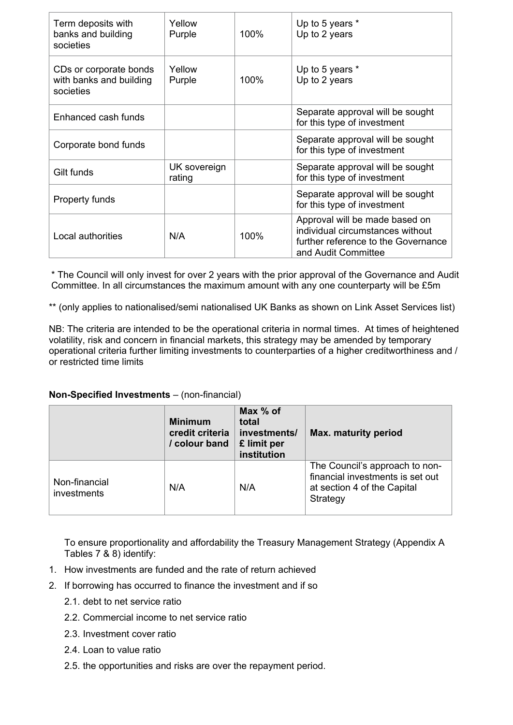| Term deposits with<br>banks and building<br>societies          | Yellow<br>Purple       | 100% | Up to 5 years *<br>Up to 2 years                                                                                                 |  |
|----------------------------------------------------------------|------------------------|------|----------------------------------------------------------------------------------------------------------------------------------|--|
| CDs or corporate bonds<br>with banks and building<br>societies | Yellow<br>Purple       | 100% | Up to 5 years *<br>Up to 2 years                                                                                                 |  |
| Enhanced cash funds                                            |                        |      | Separate approval will be sought<br>for this type of investment                                                                  |  |
| Corporate bond funds                                           |                        |      | Separate approval will be sought<br>for this type of investment                                                                  |  |
| Gilt funds                                                     | UK sovereign<br>rating |      | Separate approval will be sought<br>for this type of investment                                                                  |  |
| Property funds                                                 |                        |      | Separate approval will be sought<br>for this type of investment                                                                  |  |
| Local authorities                                              | N/A                    | 100% | Approval will be made based on<br>individual circumstances without<br>further reference to the Governance<br>and Audit Committee |  |

\* The Council will only invest for over 2 years with the prior approval of the Governance and Audit Committee. In all circumstances the maximum amount with any one counterparty will be £5m

\*\* (only applies to nationalised/semi nationalised UK Banks as shown on Link Asset Services list)

NB: The criteria are intended to be the operational criteria in normal times. At times of heightened volatility, risk and concern in financial markets, this strategy may be amended by temporary operational criteria further limiting investments to counterparties of a higher creditworthiness and / or restricted time limits

#### **Non-Specified Investments** – (non-financial)

|                              | <b>Minimum</b><br>credit criteria<br>/ colour band | Max $%$ of<br>total<br>investments/<br>£ limit per<br>institution | <b>Max. maturity period</b>                                                                                   |
|------------------------------|----------------------------------------------------|-------------------------------------------------------------------|---------------------------------------------------------------------------------------------------------------|
| Non-financial<br>investments | N/A                                                | N/A                                                               | The Council's approach to non-<br>financial investments is set out<br>at section 4 of the Capital<br>Strategy |

To ensure proportionality and affordability the Treasury Management Strategy (Appendix A Tables 7 & 8) identify:

- 1. How investments are funded and the rate of return achieved
- 2. If borrowing has occurred to finance the investment and if so
	- 2.1. debt to net service ratio
	- 2.2. Commercial income to net service ratio
	- 2.3. Investment cover ratio
	- 2.4. Loan to value ratio
	- 2.5. the opportunities and risks are over the repayment period.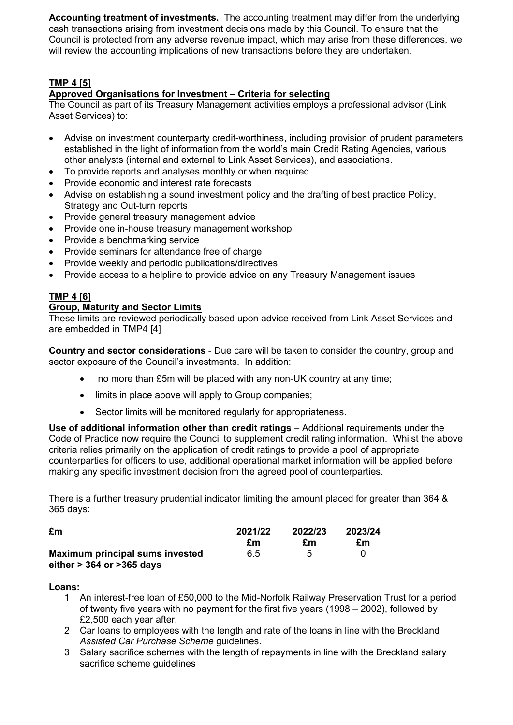**Accounting treatment of investments.** The accounting treatment may differ from the underlying cash transactions arising from investment decisions made by this Council. To ensure that the Council is protected from any adverse revenue impact, which may arise from these differences, we will review the accounting implications of new transactions before they are undertaken.

## **TMP 4 [5]**

## **Approved Organisations for Investment – Criteria for selecting**

The Council as part of its Treasury Management activities employs a professional advisor (Link Asset Services) to:

- Advise on investment counterparty credit-worthiness, including provision of prudent parameters established in the light of information from the world's main Credit Rating Agencies, various other analysts (internal and external to Link Asset Services), and associations.
- To provide reports and analyses monthly or when required.
- Provide economic and interest rate forecasts
- Advise on establishing a sound investment policy and the drafting of best practice Policy, Strategy and Out-turn reports
- Provide general treasury management advice
- Provide one in-house treasury management workshop
- Provide a benchmarking service
- Provide seminars for attendance free of charge
- Provide weekly and periodic publications/directives
- Provide access to a helpline to provide advice on any Treasury Management issues

## **TMP 4 [6]**

#### **Group, Maturity and Sector Limits**

These limits are reviewed periodically based upon advice received from Link Asset Services and are embedded in TMP4 [4]

**Country and sector considerations** - Due care will be taken to consider the country, group and sector exposure of the Council's investments. In addition:

- no more than £5m will be placed with any non-UK country at any time;
- limits in place above will apply to Group companies;
- Sector limits will be monitored regularly for appropriateness.

**Use of additional information other than credit ratings** – Additional requirements under the Code of Practice now require the Council to supplement credit rating information. Whilst the above criteria relies primarily on the application of credit ratings to provide a pool of appropriate counterparties for officers to use, additional operational market information will be applied before making any specific investment decision from the agreed pool of counterparties.

There is a further treasury prudential indicator limiting the amount placed for greater than 364 & 365 days:

| £m                                                                       | 2021/22 | 2022/23 | 2023/24 |
|--------------------------------------------------------------------------|---------|---------|---------|
|                                                                          | £m      | £m      | £m      |
| <b>Maximum principal sums invested</b><br>either $>$ 364 or $>$ 365 days | 6.5     |         |         |

**Loans:**

- 1 An interest-free loan of £50,000 to the Mid-Norfolk Railway Preservation Trust for a period of twenty five years with no payment for the first five years (1998 – 2002), followed by £2,500 each year after.
- 2 Car loans to employees with the length and rate of the loans in line with the Breckland *Assisted Car Purchase Scheme* guidelines.
- 3 Salary sacrifice schemes with the length of repayments in line with the Breckland salary sacrifice scheme guidelines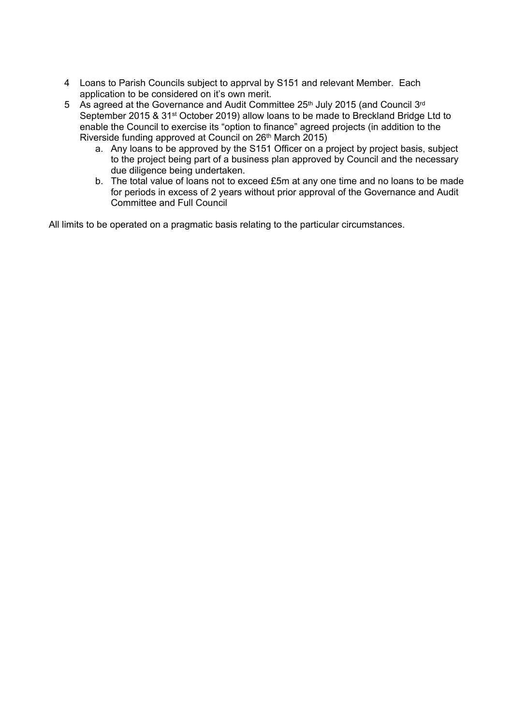- 4 Loans to Parish Councils subject to apprval by S151 and relevant Member. Each application to be considered on it's own merit.
- 5 As agreed at the Governance and Audit Committee 25<sup>th</sup> July 2015 (and Council 3<sup>rd</sup> September 2015 & 31st October 2019) allow loans to be made to Breckland Bridge Ltd to enable the Council to exercise its "option to finance" agreed projects (in addition to the Riverside funding approved at Council on 26th March 2015)
	- a. Any loans to be approved by the S151 Officer on a project by project basis, subject to the project being part of a business plan approved by Council and the necessary due diligence being undertaken.
	- b. The total value of loans not to exceed £5m at any one time and no loans to be made for periods in excess of 2 years without prior approval of the Governance and Audit Committee and Full Council

All limits to be operated on a pragmatic basis relating to the particular circumstances.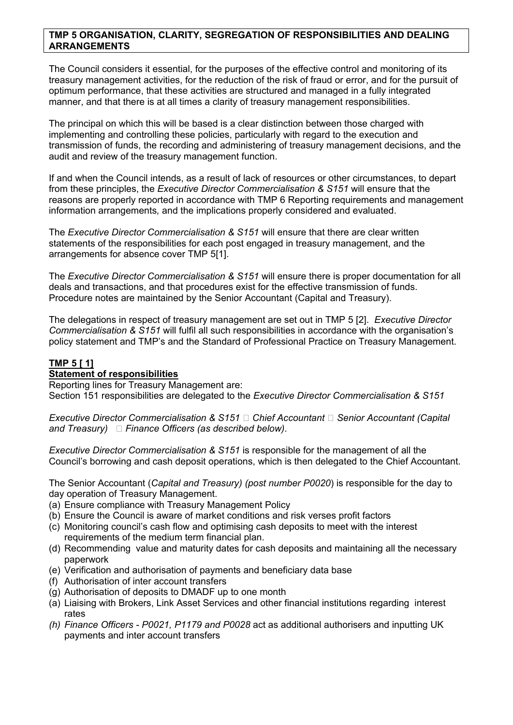#### **TMP 5 ORGANISATION, CLARITY, SEGREGATION OF RESPONSIBILITIES AND DEALING ARRANGEMENTS**

The Council considers it essential, for the purposes of the effective control and monitoring of its treasury management activities, for the reduction of the risk of fraud or error, and for the pursuit of optimum performance, that these activities are structured and managed in a fully integrated manner, and that there is at all times a clarity of treasury management responsibilities.

The principal on which this will be based is a clear distinction between those charged with implementing and controlling these policies, particularly with regard to the execution and transmission of funds, the recording and administering of treasury management decisions, and the audit and review of the treasury management function.

If and when the Council intends, as a result of lack of resources or other circumstances, to depart from these principles, the *Executive Director Commercialisation & S151* will ensure that the reasons are properly reported in accordance with TMP 6 Reporting requirements and management information arrangements*,* and the implications properly considered and evaluated.

The *Executive Director Commercialisation & S151* will ensure that there are clear written statements of the responsibilities for each post engaged in treasury management, and the arrangements for absence cover TMP 5[1].

The *Executive Director Commercialisation & S151* will ensure there is proper documentation for all deals and transactions, and that procedures exist for the effective transmission of funds. Procedure notes are maintained by the Senior Accountant (Capital and Treasury).

The delegations in respect of treasury management are set out in TMP 5 [2]. *Executive Director Commercialisation & S151* will fulfil all such responsibilities in accordance with the organisation's policy statement and TMP's and the Standard of Professional Practice on Treasury Management.

## **TMP 5 [ 1]**

#### **Statement of responsibilities**

Reporting lines for Treasury Management are: Section 151 responsibilities are delegated to the *Executive Director Commercialisation & S151*

*Executive Director Commercialisation & S151 Chief Accountant Senior Accountant (Capital and Treasury) Finance Officers (as described below)*.

*Executive Director Commercialisation & S151* is responsible for the management of all the Council's borrowing and cash deposit operations, which is then delegated to the Chief Accountant.

The Senior Accountant (*Capital and Treasury) (post number P0020*) is responsible for the day to day operation of Treasury Management.

- (a) Ensure compliance with Treasury Management Policy
- (b) Ensure the Council is aware of market conditions and risk verses profit factors
- (c) Monitoring council's cash flow and optimising cash deposits to meet with the interest requirements of the medium term financial plan.
- (d) Recommending value and maturity dates for cash deposits and maintaining all the necessary paperwork
- (e) Verification and authorisation of payments and beneficiary data base
- (f) Authorisation of inter account transfers
- (g) Authorisation of deposits to DMADF up to one month
- (a) Liaising with Brokers, Link Asset Services and other financial institutions regarding interest rates
- *(h) Finance Officers - P0021, P1179 and P0028* act as additional authorisers and inputting UK payments and inter account transfers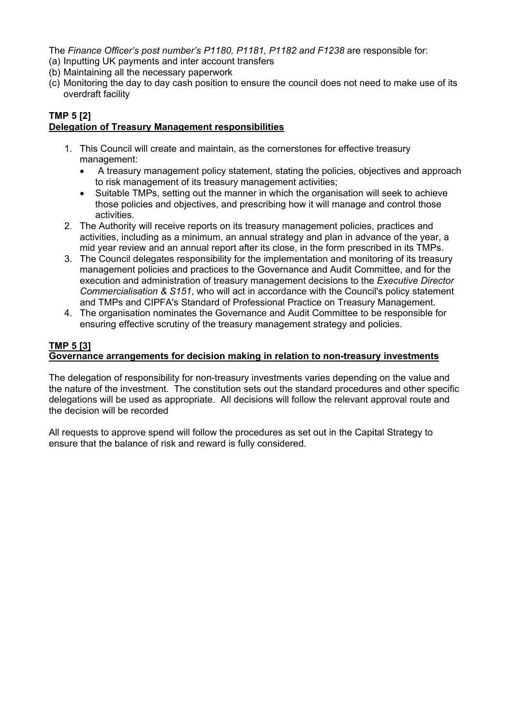The *Finance Officer's post number's P1180, P1181, P1182 and F1238* are responsible for:

- (a) Inputting UK payments and inter account transfers
- (b) Maintaining all the necessary paperwork
- (c) Monitoring the day to day cash position to ensure the council does not need to make use of its overdraft facility

#### **TMP 5 [2] Delegation of Treasury Management responsibilities**

- 1. This Council will create and maintain, as the cornerstones for effective treasury management:
	- A treasury management policy statement, stating the policies, objectives and approach to risk management of its treasury management activities;
	- Suitable TMPs, setting out the manner in which the organisation will seek to achieve those policies and objectives, and prescribing how it will manage and control those activities.
- 2. The Authority will receive reports on its treasury management policies, practices and activities, including as a minimum, an annual strategy and plan in advance of the year, a mid year review and an annual report after its close, in the form prescribed in its TMPs.
- 3. The Council delegates responsibility for the implementation and monitoring of its treasury management policies and practices to the Governance and Audit Committee, and for the execution and administration of treasury management decisions to the *Executive Director Commercialisation & S151*, who will act in accordance with the Council's policy statement and TMPs and CIPFA's Standard of Professional Practice on Treasury Management.
- 4. The organisation nominates the Governance and Audit Committee to be responsible for ensuring effective scrutiny of the treasury management strategy and policies.

## **TMP 5 [3]**

## **Governance arrangements for decision making in relation to non-treasury investments**

The delegation of responsibility for non-treasury investments varies depending on the value and the nature of the investment. The constitution sets out the standard procedures and other specific delegations will be used as appropriate. All decisions will follow the relevant approval route and the decision will be recorded

All requests to approve spend will follow the procedures as set out in the Capital Strategy to ensure that the balance of risk and reward is fully considered.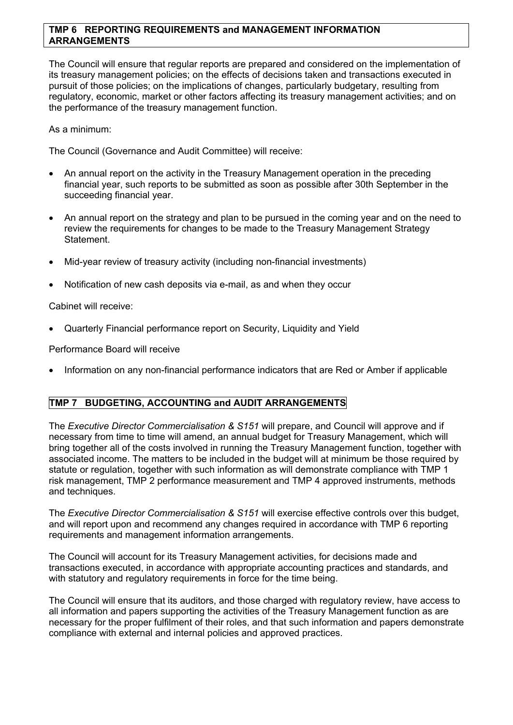#### **TMP 6 REPORTING REQUIREMENTS and MANAGEMENT INFORMATION ARRANGEMENTS**

The Council will ensure that regular reports are prepared and considered on the implementation of its treasury management policies; on the effects of decisions taken and transactions executed in pursuit of those policies; on the implications of changes, particularly budgetary, resulting from regulatory, economic, market or other factors affecting its treasury management activities; and on the performance of the treasury management function.

As a minimum:

The Council (Governance and Audit Committee) will receive:

- An annual report on the activity in the Treasury Management operation in the preceding financial year, such reports to be submitted as soon as possible after 30th September in the succeeding financial year.
- An annual report on the strategy and plan to be pursued in the coming year and on the need to review the requirements for changes to be made to the Treasury Management Strategy Statement.
- Mid-year review of treasury activity (including non-financial investments)
- Notification of new cash deposits via e-mail, as and when they occur

Cabinet will receive:

Quarterly Financial performance report on Security, Liquidity and Yield

Performance Board will receive

Information on any non-financial performance indicators that are Red or Amber if applicable

#### **TMP 7 BUDGETING, ACCOUNTING and AUDIT ARRANGEMENTS**

The *Executive Director Commercialisation & S151* will prepare, and Council will approve and if necessary from time to time will amend, an annual budget for Treasury Management, which will bring together all of the costs involved in running the Treasury Management function, together with associated income. The matters to be included in the budget will at minimum be those required by statute or regulation, together with such information as will demonstrate compliance with TMP 1 risk management, TMP 2 performance measurement and TMP 4 approved instruments, methods and techniques.

The *Executive Director Commercialisation & S151* will exercise effective controls over this budget, and will report upon and recommend any changes required in accordance with TMP 6 reporting requirements and management information arrangements.

The Council will account for its Treasury Management activities, for decisions made and transactions executed, in accordance with appropriate accounting practices and standards, and with statutory and regulatory requirements in force for the time being.

The Council will ensure that its auditors, and those charged with regulatory review, have access to all information and papers supporting the activities of the Treasury Management function as are necessary for the proper fulfilment of their roles, and that such information and papers demonstrate compliance with external and internal policies and approved practices.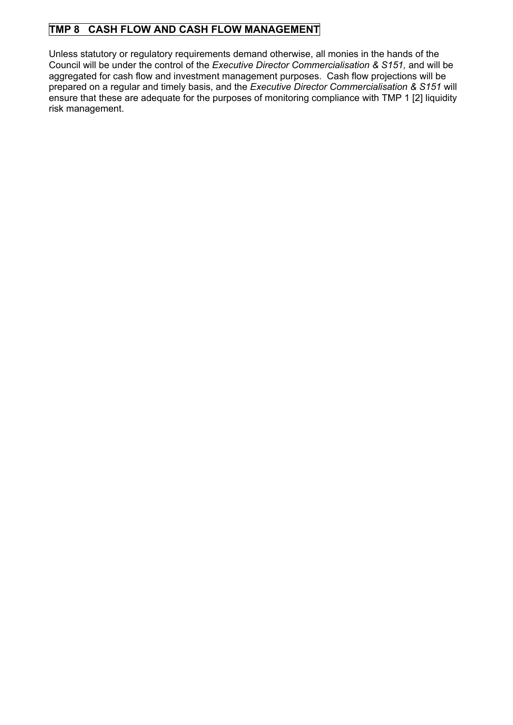# **TMP 8 CASH FLOW AND CASH FLOW MANAGEMENT**

Unless statutory or regulatory requirements demand otherwise, all monies in the hands of the Council will be under the control of the *Executive Director Commercialisation & S151,* and will be aggregated for cash flow and investment management purposes. Cash flow projections will be prepared on a regular and timely basis, and the *Executive Director Commercialisation & S151* will ensure that these are adequate for the purposes of monitoring compliance with TMP 1 [2] liquidity risk management.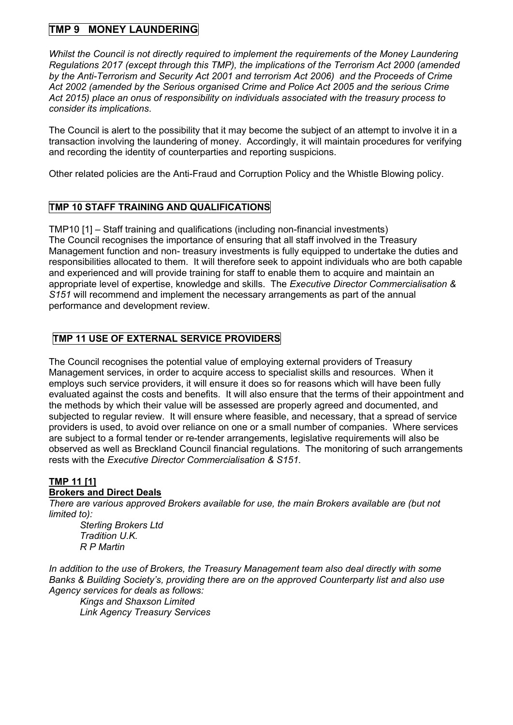# **TMP 9 MONEY LAUNDERING**

*Whilst the Council is not directly required to implement the requirements of the Money Laundering Regulations 2017 (except through this TMP), the implications of the Terrorism Act 2000 (amended by the Anti-Terrorism and Security Act 2001 and terrorism Act 2006) and the Proceeds of Crime Act 2002 (amended by the Serious organised Crime and Police Act 2005 and the serious Crime Act 2015) place an onus of responsibility on individuals associated with the treasury process to consider its implications*.

The Council is alert to the possibility that it may become the subject of an attempt to involve it in a transaction involving the laundering of money. Accordingly, it will maintain procedures for verifying and recording the identity of counterparties and reporting suspicions.

Other related policies are the Anti-Fraud and Corruption Policy and the Whistle Blowing policy.

## **TMP 10 STAFF TRAINING AND QUALIFICATIONS**

TMP10 [1] – Staff training and qualifications (including non-financial investments) The Council recognises the importance of ensuring that all staff involved in the Treasury Management function and non- treasury investments is fully equipped to undertake the duties and responsibilities allocated to them. It will therefore seek to appoint individuals who are both capable and experienced and will provide training for staff to enable them to acquire and maintain an appropriate level of expertise, knowledge and skills. The *Executive Director Commercialisation & S151* will recommend and implement the necessary arrangements as part of the annual performance and development review.

## **TMP 11 USE OF EXTERNAL SERVICE PROVIDERS**

The Council recognises the potential value of employing external providers of Treasury Management services, in order to acquire access to specialist skills and resources. When it employs such service providers, it will ensure it does so for reasons which will have been fully evaluated against the costs and benefits. It will also ensure that the terms of their appointment and the methods by which their value will be assessed are properly agreed and documented, and subjected to regular review. It will ensure where feasible, and necessary, that a spread of service providers is used, to avoid over reliance on one or a small number of companies. Where services are subject to a formal tender or re-tender arrangements, legislative requirements will also be observed as well as Breckland Council financial regulations. The monitoring of such arrangements rests with the *Executive Director Commercialisation & S151.*

# **TMP 11 [1]**

## **Brokers and Direct Deals**

*There are various approved Brokers available for use, the main Brokers available are (but not limited to):*

*Sterling Brokers Ltd Tradition U.K. R P Martin*

*In addition to the use of Brokers, the Treasury Management team also deal directly with some Banks & Building Society's, providing there are on the approved Counterparty list and also use Agency services for deals as follows:*

*Kings and Shaxson Limited Link Agency Treasury Services*